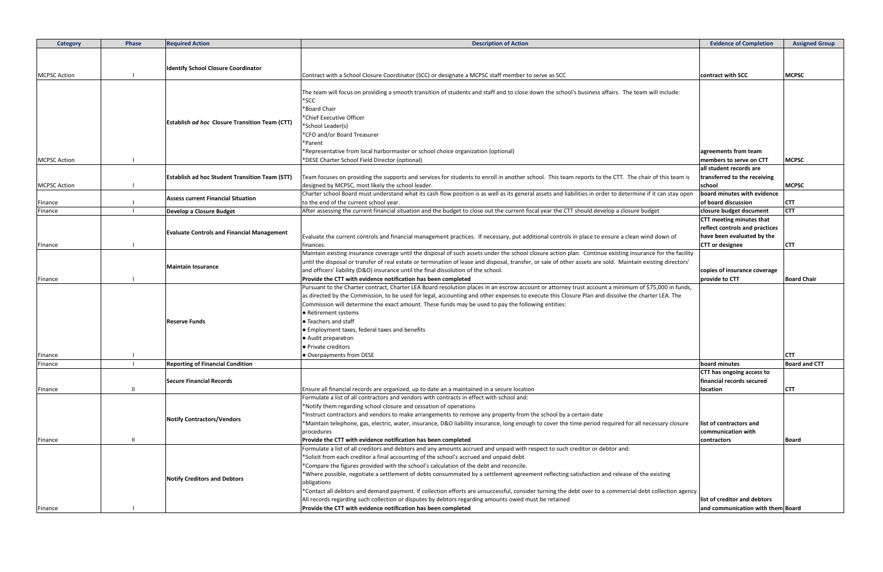| <b>Category</b>     | Phase | <b>Required Action</b>                                | <b>Description of Action</b>                                                                                                                                                                                                         | <b>Evidence of Completion</b>                      | <b>Assigned Group</b> |
|---------------------|-------|-------------------------------------------------------|--------------------------------------------------------------------------------------------------------------------------------------------------------------------------------------------------------------------------------------|----------------------------------------------------|-----------------------|
|                     |       |                                                       |                                                                                                                                                                                                                                      |                                                    |                       |
|                     |       | <b>Identify School Closure Coordinator</b>            |                                                                                                                                                                                                                                      |                                                    |                       |
| <b>MCPSC Action</b> |       |                                                       | Contract with a School Closure Coordinator (SCC) or designate a MCPSC staff member to serve as SCC                                                                                                                                   | contract with SCC                                  | <b>MCPSC</b>          |
|                     |       |                                                       |                                                                                                                                                                                                                                      |                                                    |                       |
|                     |       |                                                       | The team will focus on providing a smooth transition of students and staff and to close down the school's business affairs. The team will include:                                                                                   |                                                    |                       |
|                     |       |                                                       | $*$ SCC                                                                                                                                                                                                                              |                                                    |                       |
|                     |       |                                                       | *Board Chair                                                                                                                                                                                                                         |                                                    |                       |
|                     |       | <b>Establish ad hoc Closure Transition Team (CTT)</b> | *Chief Executive Officer                                                                                                                                                                                                             |                                                    |                       |
|                     |       |                                                       | *School Leader(s)                                                                                                                                                                                                                    |                                                    |                       |
|                     |       |                                                       | *CFO and/or Board Treasurer                                                                                                                                                                                                          |                                                    |                       |
|                     |       |                                                       | *Parent                                                                                                                                                                                                                              |                                                    |                       |
|                     |       |                                                       | *Representative from local harbormaster or school choice organization (optional)                                                                                                                                                     | agreements from team                               |                       |
| <b>MCPSC Action</b> |       |                                                       | *DESE Charter School Field Director (optional)                                                                                                                                                                                       | members to serve on CTT<br>all student records are | <b>MCPSC</b>          |
|                     |       |                                                       | Team focuses on providing the supports and services for students to enroll in another school. This team reports to the CTT. The chair of this team is                                                                                | transferred to the receiving                       |                       |
| <b>MCPSC Action</b> |       | <b>Establish ad hoc Student Transition Team (STT)</b> |                                                                                                                                                                                                                                      | school                                             | <b>MCPSC</b>          |
|                     |       |                                                       | designed by MCPSC, most likely the school leader.<br>Charter school Board must understand what its cash flow position is as well as its general assets and liabilities in order to determine if it can stay open                     | board minutes with evidence                        |                       |
| Finance             |       | <b>Assess current Financial Situation</b>             | to the end of the current school year.                                                                                                                                                                                               | of board discussion                                | <b>CTT</b>            |
| Finance             |       | Develop a Closure Budget                              | After assessing the current financial situation and the budget to close out the current fiscal year the CTT should develop a closure budget                                                                                          | closure budget document                            | <b>CTT</b>            |
|                     |       |                                                       |                                                                                                                                                                                                                                      | CTT meeting minutes that                           |                       |
|                     |       |                                                       |                                                                                                                                                                                                                                      | reflect controls and practices                     |                       |
|                     |       | <b>Evaluate Controls and Financial Management</b>     | Evaluate the current controls and financial management practices. If necessary, put additional controls in place to ensure a clean wind down of                                                                                      | have been evaluated by the                         |                       |
| Finance             |       |                                                       | finances.                                                                                                                                                                                                                            | <b>CTT</b> or designee                             | <b>CTT</b>            |
|                     |       |                                                       | Maintain existing insurance coverage until the disposal of such assets under the school closure action plan. Continue existing insurance for the facility                                                                            |                                                    |                       |
|                     |       |                                                       | until the disposal or transfer of real estate or termination of lease and disposal, transfer, or sale of other assets are sold. Maintain existing directors'                                                                         |                                                    |                       |
|                     |       | <b>Maintain Insurance</b>                             | and officers' liability (D&O) insurance until the final dissolution of the school.                                                                                                                                                   | copies of insurance coverage                       |                       |
| Finance             |       |                                                       | Provide the CTT with evidence notification has been completed                                                                                                                                                                        | provide to CTT                                     | <b>Board Chair</b>    |
|                     |       |                                                       | Pursuant to the Charter contract, Charter LEA Board resolution places in an escrow account or attorney trust account a minimum of \$75,000 in funds,                                                                                 |                                                    |                       |
|                     |       |                                                       | as directed by the Commission, to be used for legal, accounting and other expenses to execute this Closure Plan and dissolve the charter LEA. The                                                                                    |                                                    |                       |
|                     |       |                                                       | Commission will determine the exact amount. These funds may be used to pay the following entities:                                                                                                                                   |                                                    |                       |
|                     |       |                                                       | ● Retirement systems                                                                                                                                                                                                                 |                                                    |                       |
|                     |       | Reserve Funds                                         | • Teachers and staff                                                                                                                                                                                                                 |                                                    |                       |
|                     |       |                                                       | • Employment taxes, federal taxes and benefits                                                                                                                                                                                       |                                                    |                       |
|                     |       |                                                       | • Audit preparation                                                                                                                                                                                                                  |                                                    |                       |
|                     |       |                                                       | • Private creditors                                                                                                                                                                                                                  |                                                    |                       |
| Finance             |       |                                                       | • Overpayments from DESE                                                                                                                                                                                                             |                                                    | <b>CTT</b>            |
| Finance             |       | <b>Reporting of Financial Condition</b>               |                                                                                                                                                                                                                                      | board minutes                                      | <b>Board and CTT</b>  |
|                     |       |                                                       |                                                                                                                                                                                                                                      | CTT has ongoing access to                          |                       |
|                     |       | Secure Financial Records                              |                                                                                                                                                                                                                                      | financial records secured                          |                       |
| Finance             | -H    |                                                       | Ensure all financial records are organized, up to date an a maintained in a secure location                                                                                                                                          | location                                           | <b>CTT</b>            |
|                     |       |                                                       | Formulate a list of all contractors and vendors with contracts in effect with school and:                                                                                                                                            |                                                    |                       |
|                     |       |                                                       | *Notify them regarding school closure and cessation of operations                                                                                                                                                                    |                                                    |                       |
|                     |       | <b>Notify Contractors/Vendors</b>                     | *Instruct contractors and vendors to make arrangements to remove any property from the school by a certain date                                                                                                                      |                                                    |                       |
|                     |       |                                                       | *Maintain telephone, gas, electric, water, insurance, D&O liability insurance, long enough to cover the time period required for all necessary closure                                                                               | list of contractors and                            |                       |
|                     |       |                                                       | procedures                                                                                                                                                                                                                           | communication with                                 |                       |
| Finance             | - 11  |                                                       | Provide the CTT with evidence notification has been completed                                                                                                                                                                        | contractors                                        | Board                 |
|                     |       |                                                       | Formulate a list of all creditors and debtors and any amounts accrued and unpaid with respect to such creditor or debtor and:                                                                                                        |                                                    |                       |
|                     |       |                                                       | *Solicit from each creditor a final accounting of the school's accrued and unpaid debt                                                                                                                                               |                                                    |                       |
|                     |       |                                                       | *Compare the figures provided with the school's calculation of the debt and reconcile.<br>*Where possible, negotiate a settlement of debts consummated by a settlement agreement reflecting satisfaction and release of the existing |                                                    |                       |
|                     |       | <b>Notify Creditors and Debtors</b>                   |                                                                                                                                                                                                                                      |                                                    |                       |
|                     |       |                                                       | obligations<br>*Contact all debtors and demand payment. If collection efforts are unsuccessful, consider turning the debt over to a commercial debt collection agency.                                                               |                                                    |                       |
|                     |       |                                                       | All records regarding such collection or disputes by debtors regarding amounts owed must be retained                                                                                                                                 | list of creditor and debtors                       |                       |
|                     |       |                                                       | Provide the CTT with evidence notification has been completed                                                                                                                                                                        | and communication with them Board                  |                       |
| Finance             |       |                                                       |                                                                                                                                                                                                                                      |                                                    |                       |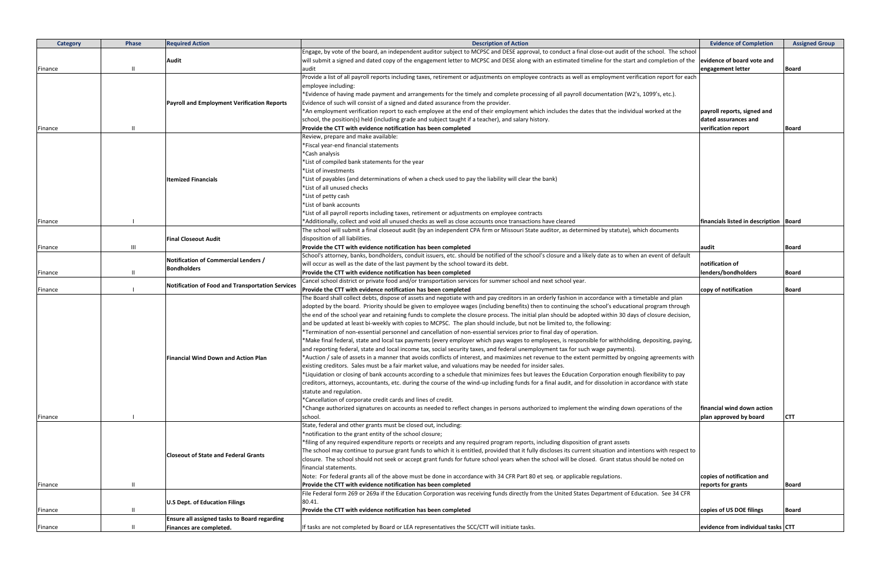| Category | Phase          | <b>Required Action</b>                                     | <b>Description of Action</b>                                                                                                                                                                                                                                                             | <b>Evidence of Completion</b>            | <b>Assigned Group</b> |
|----------|----------------|------------------------------------------------------------|------------------------------------------------------------------------------------------------------------------------------------------------------------------------------------------------------------------------------------------------------------------------------------------|------------------------------------------|-----------------------|
|          |                |                                                            | Engage, by vote of the board, an independent auditor subject to MCPSC and DESE approval, to conduct a final close-out audit of the school. The school                                                                                                                                    |                                          |                       |
|          |                | Audit                                                      | will submit a signed and dated copy of the engagement letter to MCPSC and DESE along with an estimated timeline for the start and completion of the                                                                                                                                      | evidence of board vote and               |                       |
| Finance  |                |                                                            | audit                                                                                                                                                                                                                                                                                    | engagement letter                        | <b>Board</b>          |
|          |                |                                                            | Provide a list of all payroll reports including taxes, retirement or adjustments on employee contracts as well as employment verification report for each                                                                                                                                |                                          |                       |
|          |                |                                                            | employee including:                                                                                                                                                                                                                                                                      |                                          |                       |
|          |                |                                                            | *Evidence of having made payment and arrangements for the timely and complete processing of all payroll documentation (W2's, 1099's, etc.).                                                                                                                                              |                                          |                       |
|          |                | <b>Payroll and Employment Verification Reports</b>         | Evidence of such will consist of a signed and dated assurance from the provider.                                                                                                                                                                                                         |                                          |                       |
|          |                |                                                            | *An employment verification report to each employee at the end of their employment which includes the dates that the individual worked at the                                                                                                                                            | payroll reports, signed and              |                       |
|          |                |                                                            | school, the position(s) held (including grade and subject taught if a teacher), and salary history.                                                                                                                                                                                      | dated assurances and                     |                       |
| Finance  |                |                                                            | Provide the CTT with evidence notification has been completed<br>Review, prepare and make available:                                                                                                                                                                                     | verification report                      | <b>Board</b>          |
|          |                |                                                            | *Fiscal year-end financial statements                                                                                                                                                                                                                                                    |                                          |                       |
|          |                |                                                            | *Cash analysis                                                                                                                                                                                                                                                                           |                                          |                       |
|          |                |                                                            | *List of compiled bank statements for the year                                                                                                                                                                                                                                           |                                          |                       |
|          |                |                                                            | *List of investments                                                                                                                                                                                                                                                                     |                                          |                       |
|          |                | <b>Itemized Financials</b>                                 | List of payables (and determinations of when a check used to pay the liability will clear the bank)*                                                                                                                                                                                     |                                          |                       |
|          |                |                                                            | *List of all unused checks                                                                                                                                                                                                                                                               |                                          |                       |
|          |                |                                                            | *List of petty cash                                                                                                                                                                                                                                                                      |                                          |                       |
|          |                |                                                            | *List of bank accounts                                                                                                                                                                                                                                                                   |                                          |                       |
|          |                |                                                            | *List of all payroll reports including taxes, retirement or adjustments on employee contracts                                                                                                                                                                                            |                                          |                       |
| Finance  |                |                                                            | *Additionally, collect and void all unused checks as well as close accounts once transactions have cleared                                                                                                                                                                               | financials listed in description   Board |                       |
|          |                |                                                            | The school will submit a final closeout audit (by an independent CPA firm or Missouri State auditor, as determined by statute), which documents                                                                                                                                          |                                          |                       |
|          |                | <b>Final Closeout Audit</b>                                | disposition of all liabilities.                                                                                                                                                                                                                                                          |                                          |                       |
| Finance  | $\mathbf{III}$ |                                                            | Provide the CTT with evidence notification has been completed                                                                                                                                                                                                                            | audit                                    | <b>Board</b>          |
|          |                |                                                            | School's attorney, banks, bondholders, conduit issuers, etc. should be notified of the school's closure and a likely date as to when an event of default                                                                                                                                 |                                          |                       |
|          |                | Notification of Commercial Lenders /<br><b>Bondholders</b> | will occur as well as the date of the last payment by the school toward its debt.                                                                                                                                                                                                        | notification of                          |                       |
| Finance  |                |                                                            | Provide the CTT with evidence notification has been completed                                                                                                                                                                                                                            | lenders/bondholders                      | <b>Board</b>          |
|          |                | Notification of Food and Transportation Services           | Cancel school district or private food and/or transportation services for summer school and next school year.                                                                                                                                                                            |                                          |                       |
| Finance  |                |                                                            | Provide the CTT with evidence notification has been completed                                                                                                                                                                                                                            | copy of notification                     | <b>Board</b>          |
|          |                |                                                            | The Board shall collect debts, dispose of assets and negotiate with and pay creditors in an orderly fashion in accordance with a timetable and plan                                                                                                                                      |                                          |                       |
|          |                |                                                            | adopted by the board. Priority should be given to employee wages (including benefits) then to continuing the school's educational program through                                                                                                                                        |                                          |                       |
|          |                |                                                            | the end of the school year and retaining funds to complete the closure process. The initial plan should be adopted within 30 days of closure decision,                                                                                                                                   |                                          |                       |
|          |                |                                                            | and be updated at least bi-weekly with copies to MCPSC. The plan should include, but not be limited to, the following:                                                                                                                                                                   |                                          |                       |
|          |                |                                                            | *Termination of non-essential personnel and cancellation of non-essential services prior to final day of operation.                                                                                                                                                                      |                                          |                       |
|          |                |                                                            | *Make final federal, state and local tax payments (every employer which pays wages to employees, is responsible for withholding, depositing, paying,                                                                                                                                     |                                          |                       |
|          |                |                                                            | and reporting federal, state and local income tax, social security taxes, and federal unemployment tax for such wage payments).<br>*Auction / sale of assets in a manner that avoids conflicts of interest, and maximizes net revenue to the extent permitted by ongoing agreements with |                                          |                       |
|          |                | <b>Financial Wind Down and Action Plan</b>                 | existing creditors. Sales must be a fair market value, and valuations may be needed for insider sales.                                                                                                                                                                                   |                                          |                       |
|          |                |                                                            | *Liquidation or closing of bank accounts according to a schedule that minimizes fees but leaves the Education Corporation enough flexibility to pay                                                                                                                                      |                                          |                       |
|          |                |                                                            | creditors, attorneys, accountants, etc. during the course of the wind-up including funds for a final audit, and for dissolution in accordance with state                                                                                                                                 |                                          |                       |
|          |                |                                                            | statute and regulation.                                                                                                                                                                                                                                                                  |                                          |                       |
|          |                |                                                            | *Cancellation of corporate credit cards and lines of credit.                                                                                                                                                                                                                             |                                          |                       |
|          |                |                                                            | *Change authorized signatures on accounts as needed to reflect changes in persons authorized to implement the winding down operations of the                                                                                                                                             | financial wind down action               |                       |
| Finance  |                |                                                            | school.                                                                                                                                                                                                                                                                                  | plan approved by board                   | <b>CTT</b>            |
|          |                |                                                            | State, federal and other grants must be closed out, including:                                                                                                                                                                                                                           |                                          |                       |
|          |                |                                                            | *notification to the grant entity of the school closure;                                                                                                                                                                                                                                 |                                          |                       |
|          |                |                                                            | *filing of any required expenditure reports or receipts and any required program reports, including disposition of grant assets                                                                                                                                                          |                                          |                       |
|          |                |                                                            | The school may continue to pursue grant funds to which it is entitled, provided that it fully discloses its current situation and intentions with respect to                                                                                                                             |                                          |                       |
|          |                | <b>Closeout of State and Federal Grants</b>                | closure. The school should not seek or accept grant funds for future school years when the school will be closed. Grant status should be noted on                                                                                                                                        |                                          |                       |
|          |                |                                                            | financial statements.                                                                                                                                                                                                                                                                    |                                          |                       |
|          |                |                                                            | Note: For federal grants all of the above must be done in accordance with 34 CFR Part 80 et seq. or applicable regulations.                                                                                                                                                              | copies of notification and               |                       |
| Finance  |                |                                                            | Provide the CTT with evidence notification has been completed                                                                                                                                                                                                                            | reports for grants                       | <b>Board</b>          |
|          |                |                                                            | File Federal form 269 or 269a if the Education Corporation was receiving funds directly from the United States Department of Education. See 34 CFR                                                                                                                                       |                                          |                       |
|          |                | U.S Dept. of Education Filings                             | 80.41.                                                                                                                                                                                                                                                                                   |                                          |                       |
| Finance  | -11            |                                                            | Provide the CTT with evidence notification has been completed                                                                                                                                                                                                                            | copies of US DOE filings                 | Board                 |
|          |                | Ensure all assigned tasks to Board regarding               |                                                                                                                                                                                                                                                                                          |                                          |                       |
| Finance  |                | Finances are completed.                                    | If tasks are not completed by Board or LEA representatives the SCC/CTT will initiate tasks.                                                                                                                                                                                              | evidence from individual tasks CTT       |                       |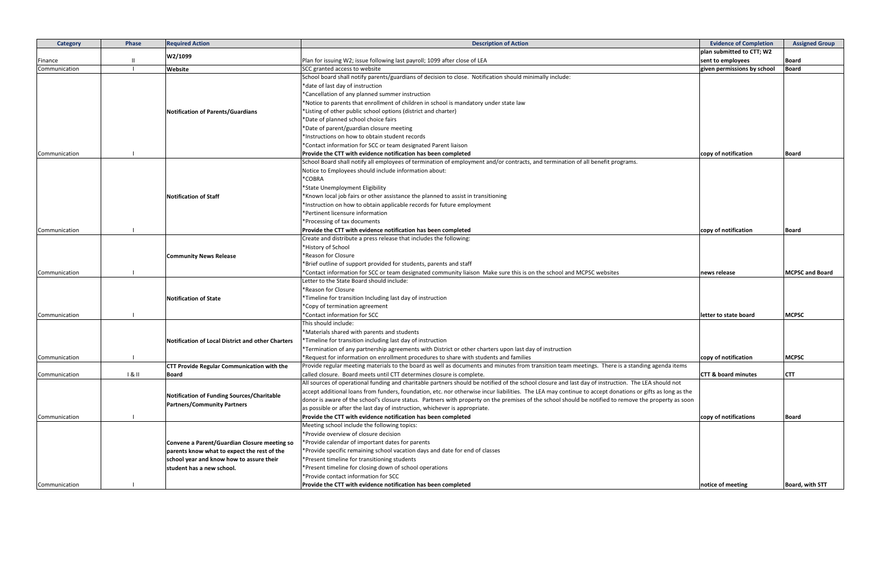| <b>Category</b> | Phase | <b>Required Action</b>                            | <b>Description of Action</b>                                                                                                                             | <b>Evidence of Completion</b>  | <b>Assigned Group</b>  |
|-----------------|-------|---------------------------------------------------|----------------------------------------------------------------------------------------------------------------------------------------------------------|--------------------------------|------------------------|
|                 |       |                                                   |                                                                                                                                                          | plan submitted to CTT; W2      |                        |
| Finance         |       | W2/1099                                           | Plan for issuing W2; issue following last payroll; 1099 after close of LEA                                                                               | sent to employees              | <b>Board</b>           |
| Communication   |       | Website                                           | SCC granted access to website                                                                                                                            | given permissions by school    | <b>Board</b>           |
|                 |       |                                                   | School board shall notify parents/guardians of decision to close. Notification should minimally include:                                                 |                                |                        |
|                 |       |                                                   | *date of last day of instruction                                                                                                                         |                                |                        |
|                 |       |                                                   | *Cancellation of any planned summer instruction                                                                                                          |                                |                        |
|                 |       |                                                   | *Notice to parents that enrollment of children in school is mandatory under state law                                                                    |                                |                        |
|                 |       | Notification of Parents/Guardians                 | *Listing of other public school options (district and charter)                                                                                           |                                |                        |
|                 |       |                                                   | *Date of planned school choice fairs                                                                                                                     |                                |                        |
|                 |       |                                                   | *Date of parent/guardian closure meeting                                                                                                                 |                                |                        |
|                 |       |                                                   | *Instructions on how to obtain student records                                                                                                           |                                |                        |
|                 |       |                                                   | *Contact information for SCC or team designated Parent liaison                                                                                           |                                |                        |
| Communication   |       |                                                   | Provide the CTT with evidence notification has been completed                                                                                            | copy of notification           | <b>Board</b>           |
|                 |       |                                                   | School Board shall notify all employees of termination of employment and/or contracts, and termination of all benefit programs.                          |                                |                        |
|                 |       |                                                   | Notice to Employees should include information about:                                                                                                    |                                |                        |
|                 |       |                                                   | *COBRA                                                                                                                                                   |                                |                        |
|                 |       |                                                   | *State Unemployment Eligibility                                                                                                                          |                                |                        |
|                 |       | <b>Notification of Staff</b>                      | *Known local job fairs or other assistance the planned to assist in transitioning                                                                        |                                |                        |
|                 |       |                                                   | *Instruction on how to obtain applicable records for future employment                                                                                   |                                |                        |
|                 |       |                                                   | *Pertinent licensure information                                                                                                                         |                                |                        |
|                 |       |                                                   | *Processing of tax documents                                                                                                                             |                                |                        |
| Communication   |       |                                                   | Provide the CTT with evidence notification has been completed                                                                                            | copy of notification           | <b>Board</b>           |
|                 |       |                                                   | Create and distribute a press release that includes the following:                                                                                       |                                |                        |
|                 |       |                                                   | *History of School                                                                                                                                       |                                |                        |
|                 |       | <b>Community News Release</b>                     | *Reason for Closure                                                                                                                                      |                                |                        |
|                 |       |                                                   | *Brief outline of support provided for students, parents and staff                                                                                       |                                |                        |
| Communication   |       |                                                   | *Contact information for SCC or team designated community liaison Make sure this is on the school and MCPSC websites                                     | news release                   | <b>MCPSC and Board</b> |
|                 |       |                                                   | Letter to the State Board should include:                                                                                                                |                                |                        |
|                 |       |                                                   | *Reason for Closure                                                                                                                                      |                                |                        |
|                 |       | <b>Notification of State</b>                      | *Timeline for transition Including last day of instruction                                                                                               |                                |                        |
|                 |       |                                                   | *Copy of termination agreement                                                                                                                           |                                |                        |
| Communication   |       |                                                   | *Contact information for SCC                                                                                                                             | letter to state board          | <b>MCPSC</b>           |
|                 |       |                                                   | This should include:                                                                                                                                     |                                |                        |
|                 |       |                                                   | *Materials shared with parents and students                                                                                                              |                                |                        |
|                 |       | Notification of Local District and other Charters | *Timeline for transition including last day of instruction                                                                                               |                                |                        |
|                 |       |                                                   | Termination of any partnership agreements with District or other charters upon last day of instruction                                                   |                                |                        |
| Communication   |       |                                                   | *Request for information on enrollment procedures to share with students and families                                                                    | copy of notification           | <b>MCPSC</b>           |
|                 |       | CTT Provide Regular Communication with the        | Provide regular meeting materials to the board as well as documents and minutes from transition team meetings. There is a standing agenda items          |                                |                        |
| Communication   | 181   | <b>Board</b>                                      | called closure. Board meets until CTT determines closure is complete.                                                                                    | <b>CTT &amp; board minutes</b> | <b>CTT</b>             |
|                 |       |                                                   | All sources of operational funding and charitable partners should be notified of the school closure and last day of instruction. The LEA should not      |                                |                        |
|                 |       |                                                   | accept additional loans from funders, foundation, etc. nor otherwise incur liabilities. The LEA may continue to accept donations or gifts as long as the |                                |                        |
|                 |       | Notification of Funding Sources/Charitable        | donor is aware of the school's closure status. Partners with property on the premises of the school should be notified to remove the property as soon    |                                |                        |
|                 |       | <b>Partners/Community Partners</b>                | as possible or after the last day of instruction, whichever is appropriate.                                                                              |                                |                        |
| Communication   |       |                                                   | Provide the CTT with evidence notification has been completed                                                                                            | copy of notifications          | Board                  |
|                 |       |                                                   | Meeting school include the following topics:                                                                                                             |                                |                        |
|                 |       |                                                   | *Provide overview of closure decision                                                                                                                    |                                |                        |
|                 |       | Convene a Parent/Guardian Closure meeting so      | *Provide calendar of important dates for parents                                                                                                         |                                |                        |
|                 |       | parents know what to expect the rest of the       | *Provide specific remaining school vacation days and date for end of classes                                                                             |                                |                        |
|                 |       | school year and know how to assure their          | *Present timeline for transitioning students                                                                                                             |                                |                        |
|                 |       | student has a new school.                         | *Present timeline for closing down of school operations                                                                                                  |                                |                        |
|                 |       |                                                   | *Provide contact information for SCC                                                                                                                     |                                |                        |
| Communication   |       |                                                   | Provide the CTT with evidence notification has been completed                                                                                            | notice of meeting              | Board, with STT        |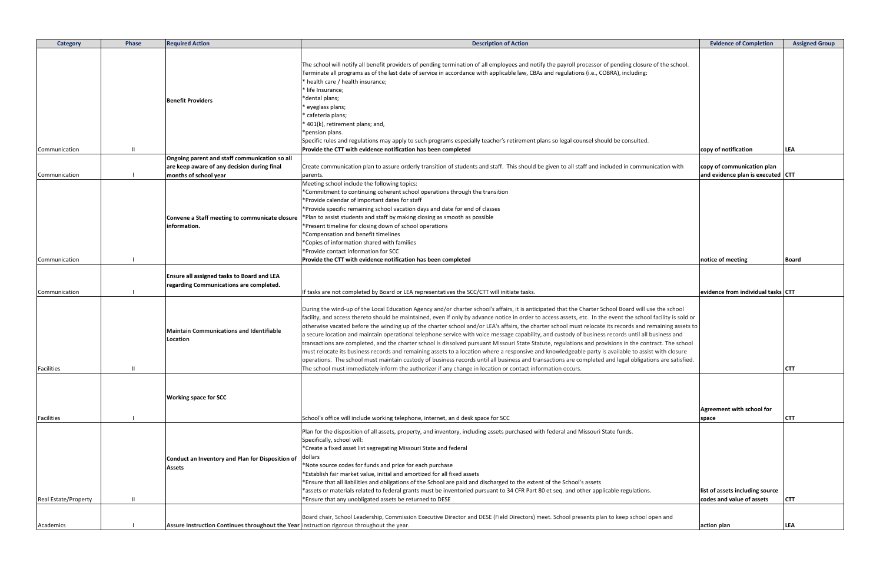| <b>Category</b>      | Phase | <b>Required Action</b>                                                                                                                               | <b>Description of Action</b>                                                                                                                                                                                                                                                                                                                                                                                                                                                                                                                                                                                                                                                                                                                                                                                                                                                                                                                                                                                                                               | <b>Evidence of Completion</b>                                |            |
|----------------------|-------|------------------------------------------------------------------------------------------------------------------------------------------------------|------------------------------------------------------------------------------------------------------------------------------------------------------------------------------------------------------------------------------------------------------------------------------------------------------------------------------------------------------------------------------------------------------------------------------------------------------------------------------------------------------------------------------------------------------------------------------------------------------------------------------------------------------------------------------------------------------------------------------------------------------------------------------------------------------------------------------------------------------------------------------------------------------------------------------------------------------------------------------------------------------------------------------------------------------------|--------------------------------------------------------------|------------|
| Communication        |       | <b>Benefit Providers</b>                                                                                                                             | The school will notify all benefit providers of pending termination of all employees and notify the payroll processor of pending closure of the school.<br>Terminate all programs as of the last date of service in accordance with applicable law, CBAs and regulations (i.e., COBRA), including:<br>health care / health insurance;<br>life Insurance;<br>*dental plans;<br>eyeglass plans;<br>cafeteria plans;<br>401(k), retirement plans; and,<br>*pension plans.<br>Specific rules and regulations may apply to such programs especially teacher's retirement plans so legal counsel should be consulted.<br>Provide the CTT with evidence notification has been completed                                                                                                                                                                                                                                                                                                                                                                           | copy of notification                                         | LEA        |
|                      |       | Ongoing parent and staff communication so all                                                                                                        |                                                                                                                                                                                                                                                                                                                                                                                                                                                                                                                                                                                                                                                                                                                                                                                                                                                                                                                                                                                                                                                            |                                                              |            |
|                      |       | are keep aware of any decision during final                                                                                                          | Create communication plan to assure orderly transition of students and staff. This should be given to all staff and included in communication with                                                                                                                                                                                                                                                                                                                                                                                                                                                                                                                                                                                                                                                                                                                                                                                                                                                                                                         | copy of communication plan                                   |            |
|                      |       |                                                                                                                                                      |                                                                                                                                                                                                                                                                                                                                                                                                                                                                                                                                                                                                                                                                                                                                                                                                                                                                                                                                                                                                                                                            |                                                              |            |
| Communication        |       | months of school year                                                                                                                                | parents.                                                                                                                                                                                                                                                                                                                                                                                                                                                                                                                                                                                                                                                                                                                                                                                                                                                                                                                                                                                                                                                   | and evidence plan is executed CTT                            |            |
|                      |       | Convene a Staff meeting to communicate closure<br>information.                                                                                       | Meeting school include the following topics:<br>*Commitment to continuing coherent school operations through the transition<br>*Provide calendar of important dates for staff<br>*Provide specific remaining school vacation days and date for end of classes<br>*Plan to assist students and staff by making closing as smooth as possible<br>*Present timeline for closing down of school operations<br>*Compensation and benefit timelines<br>*Copies of information shared with families<br>*Provide contact information for SCC                                                                                                                                                                                                                                                                                                                                                                                                                                                                                                                       |                                                              |            |
| Communication        |       |                                                                                                                                                      | Provide the CTT with evidence notification has been completed                                                                                                                                                                                                                                                                                                                                                                                                                                                                                                                                                                                                                                                                                                                                                                                                                                                                                                                                                                                              | notice of meeting                                            | Boa        |
| Communication        |       | Ensure all assigned tasks to Board and LEA<br>regarding Communications are completed.<br><b>Maintain Communications and Identifiable</b><br>Location | If tasks are not completed by Board or LEA representatives the SCC/CTT will initiate tasks.<br>During the wind-up of the Local Education Agency and/or charter school's affairs, it is anticipated that the Charter School Board will use the school<br>facility, and access thereto should be maintained, even if only by advance notice in order to access assets, etc. In the event the school facility is sold or<br>otherwise vacated before the winding up of the charter school and/or LEA's affairs, the charter school must relocate its records and remaining assets to<br>a secure location and maintain operational telephone service with voice message capability, and custody of business records until all business and<br>transactions are completed, and the charter school is dissolved pursuant Missouri State Statute, regulations and provisions in the contract. The school<br>must relocate its business records and remaining assets to a location where a responsive and knowledgeable party is available to assist with closure | evidence from individual tasks CTT                           |            |
|                      |       |                                                                                                                                                      | operations. The school must maintain custody of business records until all business and transactions are completed and legal obligations are satisfied.                                                                                                                                                                                                                                                                                                                                                                                                                                                                                                                                                                                                                                                                                                                                                                                                                                                                                                    |                                                              |            |
| <b>Facilities</b>    |       |                                                                                                                                                      | The school must immediately inform the authorizer if any change in location or contact information occurs.                                                                                                                                                                                                                                                                                                                                                                                                                                                                                                                                                                                                                                                                                                                                                                                                                                                                                                                                                 |                                                              | <b>CTT</b> |
| Facilities           |       | <b>Working space for SCC</b>                                                                                                                         | School's office will include working telephone, internet, an d desk space for SCC                                                                                                                                                                                                                                                                                                                                                                                                                                                                                                                                                                                                                                                                                                                                                                                                                                                                                                                                                                          | Agreement with school for<br>space                           | <b>CTT</b> |
| Real Estate/Property |       | Conduct an Inventory and Plan for Disposition of<br><b>Assets</b>                                                                                    | Plan for the disposition of all assets, property, and inventory, including assets purchased with federal and Missouri State funds.<br>Specifically, school will:<br>*Create a fixed asset list segregating Missouri State and federal<br>dollars<br>Note source codes for funds and price for each purchase<br>*Establish fair market value, initial and amortized for all fixed assets<br>*Ensure that all liabilities and obligations of the School are paid and discharged to the extent of the School's assets<br>*assets or materials related to federal grants must be inventoried pursuant to 34 CFR Part 80 et seq. and other applicable regulations.<br>*Ensure that any unobligated assets be returned to DESE                                                                                                                                                                                                                                                                                                                                   | list of assets including source<br>codes and value of assets | <b>CTT</b> |
|                      |       |                                                                                                                                                      | Board chair, School Leadership, Commission Executive Director and DESE (Field Directors) meet. School presents plan to keep school open and                                                                                                                                                                                                                                                                                                                                                                                                                                                                                                                                                                                                                                                                                                                                                                                                                                                                                                                |                                                              |            |
| Academics            |       | Assure Instruction Continues throughout the Year instruction rigorous throughout the year.                                                           |                                                                                                                                                                                                                                                                                                                                                                                                                                                                                                                                                                                                                                                                                                                                                                                                                                                                                                                                                                                                                                                            | action plan                                                  | LEA        |

|                                                                                                                                                                                                                                                                                                                                                                                                         | <b>Evidence of Completion</b>                                | <b>Assigned Group</b> |
|---------------------------------------------------------------------------------------------------------------------------------------------------------------------------------------------------------------------------------------------------------------------------------------------------------------------------------------------------------------------------------------------------------|--------------------------------------------------------------|-----------------------|
| lyroll processor of pending closure of the school.<br>gulations (i.e., COBRA), including:                                                                                                                                                                                                                                                                                                               |                                                              |                       |
|                                                                                                                                                                                                                                                                                                                                                                                                         |                                                              |                       |
| egal counsel should be consulted.                                                                                                                                                                                                                                                                                                                                                                       | copy of notification                                         | <b>LEA</b>            |
| o all staff and included in communication with                                                                                                                                                                                                                                                                                                                                                          | copy of communication plan<br>and evidence plan is executed  | <b>CTT</b>            |
|                                                                                                                                                                                                                                                                                                                                                                                                         | notice of meeting                                            | <b>Board</b>          |
|                                                                                                                                                                                                                                                                                                                                                                                                         |                                                              |                       |
|                                                                                                                                                                                                                                                                                                                                                                                                         | evidence from individual tasks CTT                           |                       |
| at the Charter School Board will use the school<br>issets, etc. In the event the school facility is sold or<br>ol must relocate its records and remaining assets to<br>stody of business records until all business and<br>ulations and provisions in the contract. The school<br>edgeable party is available to assist with closure<br>s are completed and legal obligations are satisfied.<br>occurs. |                                                              | <b>CTT</b>            |
|                                                                                                                                                                                                                                                                                                                                                                                                         | Agreement with school for                                    |                       |
|                                                                                                                                                                                                                                                                                                                                                                                                         | space                                                        | CTT                   |
| al and Missouri State funds.                                                                                                                                                                                                                                                                                                                                                                            |                                                              |                       |
| School's assets<br>. and other applicable regulations.                                                                                                                                                                                                                                                                                                                                                  | list of assets including source<br>codes and value of assets | CTT                   |
| ool presents plan to keep school open and                                                                                                                                                                                                                                                                                                                                                               | action plan                                                  | LEA                   |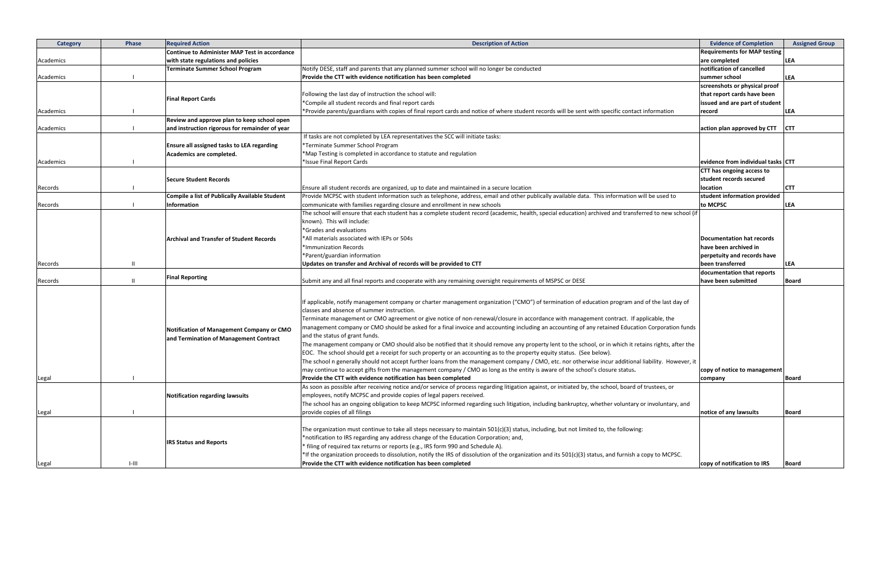| <b>Category</b> | Phase        | <b>Required Action</b>                                | <b>Description of Action</b>                                                                                                                            | <b>Evidence of Completion</b>                     | <b>Assigned Group</b> |
|-----------------|--------------|-------------------------------------------------------|---------------------------------------------------------------------------------------------------------------------------------------------------------|---------------------------------------------------|-----------------------|
|                 |              | <b>Continue to Administer MAP Test in accordance</b>  |                                                                                                                                                         | <b>Requirements for MAP testing</b>               |                       |
| Academics       |              | with state regulations and policies                   |                                                                                                                                                         | are completed                                     | <b>LEA</b>            |
|                 |              | Terminate Summer School Program                       | Notify DESE, staff and parents that any planned summer school will no longer be conducted                                                               | notification of cancelled                         |                       |
| Academics       |              |                                                       | Provide the CTT with evidence notification has been completed                                                                                           | summer school                                     | <b>LEA</b>            |
|                 |              |                                                       |                                                                                                                                                         | screenshots or physical proof                     |                       |
|                 |              |                                                       | Following the last day of instruction the school will:                                                                                                  | that report cards have been                       |                       |
|                 |              | <b>Final Report Cards</b>                             | *Compile all student records and final report cards                                                                                                     | issued and are part of student                    |                       |
| Academics       |              |                                                       | *Provide parents/guardians with copies of final report cards and notice of where student records will be sent with specific contact information         | record                                            | <b>LEA</b>            |
|                 |              | Review and approve plan to keep school open           |                                                                                                                                                         |                                                   |                       |
| Academics       |              | and instruction rigorous for remainder of year        |                                                                                                                                                         | action plan approved by CTT                       | <b>CTT</b>            |
|                 |              |                                                       | If tasks are not completed by LEA representatives the SCC will initiate tasks:                                                                          |                                                   |                       |
|                 |              | Ensure all assigned tasks to LEA regarding            | *Terminate Summer School Program                                                                                                                        |                                                   |                       |
|                 |              | Academics are completed.                              | *Map Testing is completed in accordance to statute and regulation                                                                                       |                                                   |                       |
| Academics       |              |                                                       | *Issue Final Report Cards                                                                                                                               | evidence from individual tasks CTT                |                       |
|                 |              |                                                       |                                                                                                                                                         | CTT has ongoing access to                         |                       |
|                 |              | <b>Secure Student Records</b>                         |                                                                                                                                                         | student records secured                           |                       |
| Records         |              |                                                       | Ensure all student records are organized, up to date and maintained in a secure location                                                                | location                                          | <b>CTT</b>            |
|                 |              | <b>Compile a list of Publically Available Student</b> | Provide MCPSC with student information such as telephone, address, email and other publically available data. This information will be used to          | student information provided                      |                       |
| Records         |              | Information                                           | communicate with families regarding closure and enrollment in new schools                                                                               | to MCPSC                                          | <b>LEA</b>            |
|                 |              |                                                       | The school will ensure that each student has a complete student record (academic, health, special education) archived and transferred to new school (if |                                                   |                       |
|                 |              |                                                       | known). This will include:                                                                                                                              |                                                   |                       |
|                 |              |                                                       | *Grades and evaluations                                                                                                                                 |                                                   |                       |
|                 |              |                                                       | *All materials associated with IEPs or 504s                                                                                                             | <b>Documentation hat records</b>                  |                       |
|                 |              | <b>Archival and Transfer of Student Records</b>       | *Immunization Records                                                                                                                                   | have been archived in                             |                       |
|                 |              |                                                       |                                                                                                                                                         |                                                   |                       |
|                 |              |                                                       | *Parent/guardian information                                                                                                                            | perpetuity and records have                       |                       |
| Records         | $\mathbf{H}$ |                                                       | Updates on transfer and Archival of records will be provided to CTT                                                                                     | been transferred                                  | <b>LEA</b>            |
| Records         | $\mathbf{H}$ | <b>Final Reporting</b>                                | Submit any and all final reports and cooperate with any remaining oversight requirements of MSPSC or DESE                                               | documentation that reports<br>have been submitted | <b>Board</b>          |
|                 |              |                                                       |                                                                                                                                                         |                                                   |                       |
|                 |              |                                                       | If applicable, notify management company or charter management organization ("CMO") of termination of education program and of the last day of          |                                                   |                       |
|                 |              |                                                       | classes and absence of summer instruction.                                                                                                              |                                                   |                       |
|                 |              |                                                       | Terminate management or CMO agreement or give notice of non-renewal/closure in accordance with management contract. If applicable, the                  |                                                   |                       |
|                 |              | Notification of Management Company or CMO             | management company or CMO should be asked for a final invoice and accounting including an accounting of any retained Education Corporation funds        |                                                   |                       |
|                 |              | and Termination of Management Contract                | and the status of grant funds.                                                                                                                          |                                                   |                       |
|                 |              |                                                       | The management company or CMO should also be notified that it should remove any property lent to the school, or in which it retains rights, after the   |                                                   |                       |
|                 |              |                                                       | EOC. The school should get a receipt for such property or an accounting as to the property equity status. (See below).                                  |                                                   |                       |
|                 |              |                                                       | The school n generally should not accept further loans from the management company / CMO, etc. nor otherwise incur additional liability. However, it    |                                                   |                       |
|                 |              |                                                       | may continue to accept gifts from the management company / CMO as long as the entity is aware of the school's closure status.                           | copy of notice to management                      |                       |
| Legal           |              |                                                       | Provide the CTT with evidence notification has been completed                                                                                           | company                                           | <b>Board</b>          |
|                 |              |                                                       | As soon as possible after receiving notice and/or service of process regarding litigation against, or initiated by, the school, board of trustees, or   |                                                   |                       |
|                 |              | <b>Notification regarding lawsuits</b>                | employees, notify MCPSC and provide copies of legal papers received.                                                                                    |                                                   |                       |
|                 |              |                                                       | The school has an ongoing obligation to keep MCPSC informed regarding such litigation, including bankruptcy, whether voluntary or involuntary, and      |                                                   |                       |
| Legal           |              |                                                       | provide copies of all filings                                                                                                                           | notice of any lawsuits                            | <b>Board</b>          |
|                 |              |                                                       |                                                                                                                                                         |                                                   |                       |
|                 |              |                                                       | The organization must continue to take all steps necessary to maintain $501(c)(3)$ status, including, but not limited to, the following:                |                                                   |                       |
|                 |              |                                                       | *notification to IRS regarding any address change of the Education Corporation; and,                                                                    |                                                   |                       |
|                 |              | <b>IRS Status and Reports</b>                         | filing of required tax returns or reports (e.g., IRS form 990 and Schedule A).                                                                          |                                                   |                       |
|                 |              |                                                       | *If the organization proceeds to dissolution, notify the IRS of dissolution of the organization and its 501(c)(3) status, and furnish a copy to MCPSC.  |                                                   |                       |
| Legal           | $1-111$      |                                                       | Provide the CTT with evidence notification has been completed                                                                                           | copy of notification to IRS                       | <b>Board</b>          |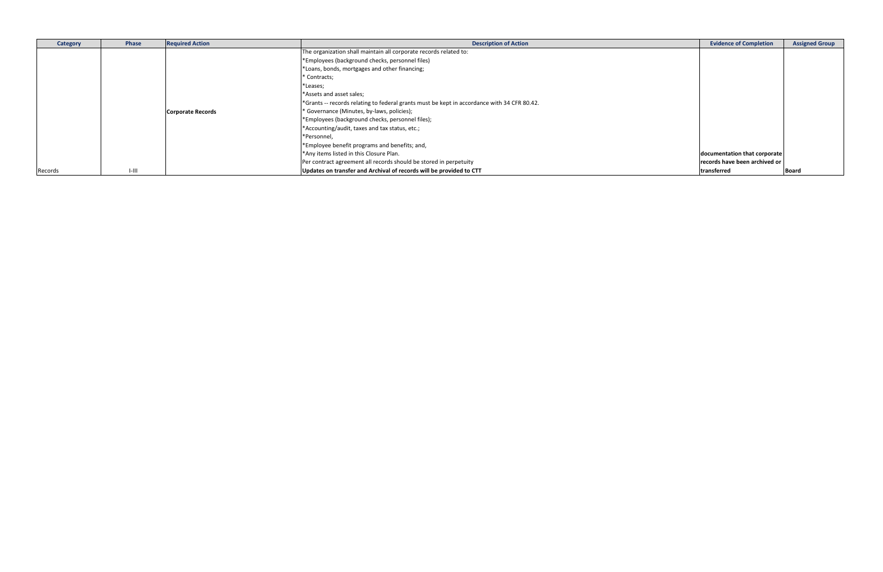| <b>Category</b> | Phase     | <b>Required Action</b>   | <b>Description of Action</b>                                                                | <b>Evidence of Completion</b> | <b>Assigned Group</b> |
|-----------------|-----------|--------------------------|---------------------------------------------------------------------------------------------|-------------------------------|-----------------------|
|                 |           |                          | The organization shall maintain all corporate records related to:                           |                               |                       |
|                 |           |                          | *Employees (background checks, personnel files)                                             |                               |                       |
|                 |           |                          | *Loans, bonds, mortgages and other financing;                                               |                               |                       |
|                 |           |                          | * Contracts;                                                                                |                               |                       |
|                 |           |                          | *Leases;                                                                                    |                               |                       |
|                 |           |                          | *Assets and asset sales;                                                                    |                               |                       |
|                 |           |                          | *Grants -- records relating to federal grants must be kept in accordance with 34 CFR 80.42. |                               |                       |
|                 |           | <b>Corporate Records</b> | * Governance (Minutes, by-laws, policies);                                                  |                               |                       |
|                 |           |                          | *Employees (background checks, personnel files);                                            |                               |                       |
|                 |           |                          | *Accounting/audit, taxes and tax status, etc.;                                              |                               |                       |
|                 |           |                          | *Personnel,                                                                                 |                               |                       |
|                 |           |                          | *Employee benefit programs and benefits; and,                                               |                               |                       |
|                 |           |                          | *Any items listed in this Closure Plan.                                                     | documentation that corporate  |                       |
|                 |           |                          | Per contract agreement all records should be stored in perpetuity                           | records have been archived or |                       |
| Records         | $1 - 111$ |                          | Updates on transfer and Archival of records will be provided to CTT                         | transferred                   | Board                 |

| <b>Evidence of Completion</b> | <b>Assigned Group</b> |
|-------------------------------|-----------------------|
|                               |                       |
|                               |                       |
|                               |                       |
|                               |                       |
|                               |                       |
|                               |                       |
|                               |                       |
|                               |                       |
|                               |                       |
|                               |                       |
|                               |                       |
|                               |                       |
| documentation that corporate  |                       |
| records have been archived or |                       |
| transferred                   | <b>Board</b>          |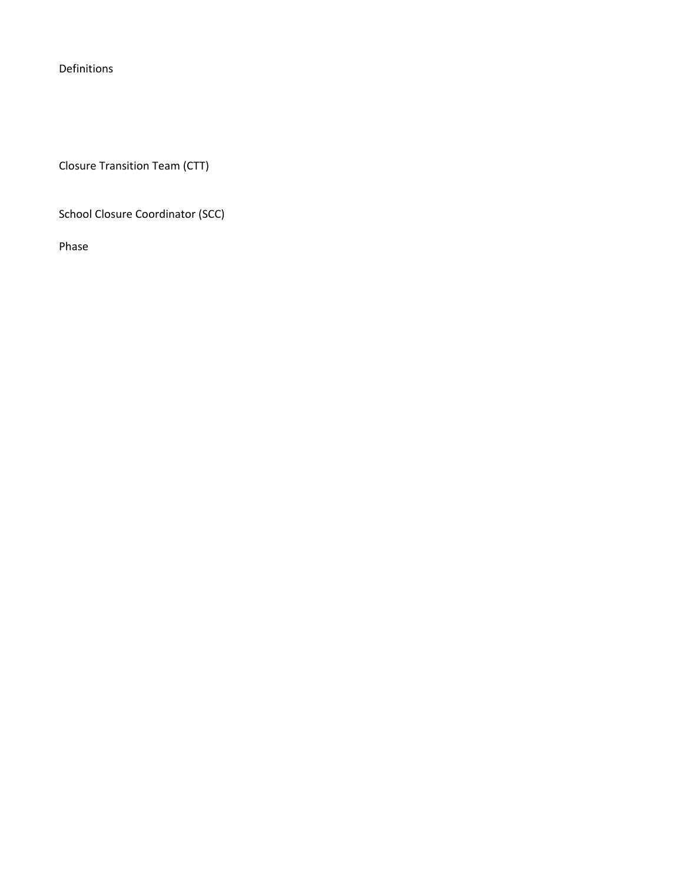Definitions

Closure Transition Team (CTT)

School Closure Coordinator (SCC)

Phase